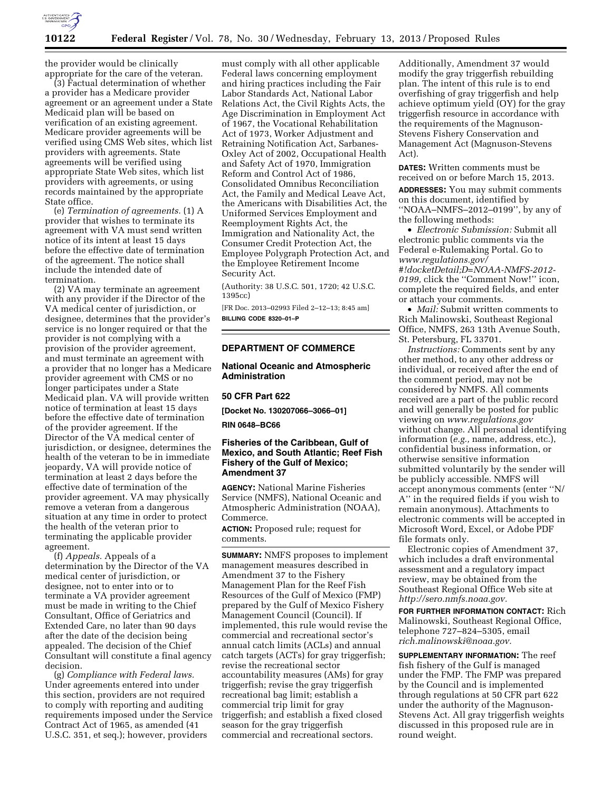

the provider would be clinically appropriate for the care of the veteran.

(3) Factual determination of whether a provider has a Medicare provider agreement or an agreement under a State Medicaid plan will be based on verification of an existing agreement. Medicare provider agreements will be verified using CMS Web sites, which list providers with agreements. State agreements will be verified using appropriate State Web sites, which list providers with agreements, or using records maintained by the appropriate State office.

(e) *Termination of agreements.* (1) A provider that wishes to terminate its agreement with VA must send written notice of its intent at least 15 days before the effective date of termination of the agreement. The notice shall include the intended date of termination.

(2) VA may terminate an agreement with any provider if the Director of the VA medical center of jurisdiction, or designee, determines that the provider's service is no longer required or that the provider is not complying with a provision of the provider agreement, and must terminate an agreement with a provider that no longer has a Medicare provider agreement with CMS or no longer participates under a State Medicaid plan. VA will provide written notice of termination at least 15 days before the effective date of termination of the provider agreement. If the Director of the VA medical center of jurisdiction, or designee, determines the health of the veteran to be in immediate jeopardy, VA will provide notice of termination at least 2 days before the effective date of termination of the provider agreement. VA may physically remove a veteran from a dangerous situation at any time in order to protect the health of the veteran prior to terminating the applicable provider agreement.

(f) *Appeals.* Appeals of a determination by the Director of the VA medical center of jurisdiction, or designee, not to enter into or to terminate a VA provider agreement must be made in writing to the Chief Consultant, Office of Geriatrics and Extended Care, no later than 90 days after the date of the decision being appealed. The decision of the Chief Consultant will constitute a final agency decision.

(g) *Compliance with Federal laws.*  Under agreements entered into under this section, providers are not required to comply with reporting and auditing requirements imposed under the Service Contract Act of 1965, as amended (41 U.S.C. 351, et seq.); however, providers

must comply with all other applicable Federal laws concerning employment and hiring practices including the Fair Labor Standards Act, National Labor Relations Act, the Civil Rights Acts, the Age Discrimination in Employment Act of 1967, the Vocational Rehabilitation Act of 1973, Worker Adjustment and Retraining Notification Act, Sarbanes-Oxley Act of 2002, Occupational Health and Safety Act of 1970, Immigration Reform and Control Act of 1986, Consolidated Omnibus Reconciliation Act, the Family and Medical Leave Act, the Americans with Disabilities Act, the Uniformed Services Employment and Reemployment Rights Act, the Immigration and Nationality Act, the Consumer Credit Protection Act, the Employee Polygraph Protection Act, and the Employee Retirement Income Security Act.

(Authority: 38 U.S.C. 501, 1720; 42 U.S.C. 1395cc)

[FR Doc. 2013–02993 Filed 2–12–13; 8:45 am] **BILLING CODE 8320–01–P** 

# **DEPARTMENT OF COMMERCE**

# **National Oceanic and Atmospheric Administration**

# **50 CFR Part 622**

**[Docket No. 130207066–3066–01]** 

#### **RIN 0648–BC66**

# **Fisheries of the Caribbean, Gulf of Mexico, and South Atlantic; Reef Fish Fishery of the Gulf of Mexico; Amendment 37**

**AGENCY:** National Marine Fisheries Service (NMFS), National Oceanic and Atmospheric Administration (NOAA), Commerce.

**ACTION:** Proposed rule; request for comments.

**SUMMARY:** NMFS proposes to implement management measures described in Amendment 37 to the Fishery Management Plan for the Reef Fish Resources of the Gulf of Mexico (FMP) prepared by the Gulf of Mexico Fishery Management Council (Council). If implemented, this rule would revise the commercial and recreational sector's annual catch limits (ACLs) and annual catch targets (ACTs) for gray triggerfish; revise the recreational sector accountability measures (AMs) for gray triggerfish; revise the gray triggerfish recreational bag limit; establish a commercial trip limit for gray triggerfish; and establish a fixed closed season for the gray triggerfish commercial and recreational sectors.

Additionally, Amendment 37 would modify the gray triggerfish rebuilding plan. The intent of this rule is to end overfishing of gray triggerfish and help achieve optimum yield (OY) for the gray triggerfish resource in accordance with the requirements of the Magnuson-Stevens Fishery Conservation and Management Act (Magnuson-Stevens Act).

**DATES:** Written comments must be received on or before March 15, 2013.

**ADDRESSES:** You may submit comments on this document, identified by ''NOAA–NMFS–2012–0199'', by any of the following methods:

• *Electronic Submission:* Submit all electronic public comments via the Federal e-Rulemaking Portal. Go to *[www.regulations.gov/](http://www.regulations.gov/#!docketDetail;D=NOAA-NMFS-2012-0199) [#!docketDetail;D=NOAA-NMFS-2012-](http://www.regulations.gov/#!docketDetail;D=NOAA-NMFS-2012-0199) [0199,](http://www.regulations.gov/#!docketDetail;D=NOAA-NMFS-2012-0199)* click the ''Comment Now!'' icon, complete the required fields, and enter or attach your comments.

• *Mail:* Submit written comments to Rich Malinowski, Southeast Regional Office, NMFS, 263 13th Avenue South, St. Petersburg, FL 33701.

*Instructions:* Comments sent by any other method, to any other address or individual, or received after the end of the comment period, may not be considered by NMFS. All comments received are a part of the public record and will generally be posted for public viewing on *[www.regulations.gov](http://www.regulations.gov)*  without change. All personal identifying information (*e.g.,* name, address, etc.), confidential business information, or otherwise sensitive information submitted voluntarily by the sender will be publicly accessible. NMFS will accept anonymous comments (enter ''N/ A'' in the required fields if you wish to remain anonymous). Attachments to electronic comments will be accepted in Microsoft Word, Excel, or Adobe PDF file formats only.

Electronic copies of Amendment 37, which includes a draft environmental assessment and a regulatory impact review, may be obtained from the Southeast Regional Office Web site at *[http://sero.nmfs.noaa.gov.](http://sero.nmfs.noaa.gov)* 

**FOR FURTHER INFORMATION CONTACT:** Rich Malinowski, Southeast Regional Office, telephone 727–824–5305, email *[rich.malinowski@noaa.gov.](mailto:rich.malinowski@noaa.gov)* 

**SUPPLEMENTARY INFORMATION:** The reef fish fishery of the Gulf is managed under the FMP. The FMP was prepared by the Council and is implemented through regulations at 50 CFR part 622 under the authority of the Magnuson-Stevens Act. All gray triggerfish weights discussed in this proposed rule are in round weight.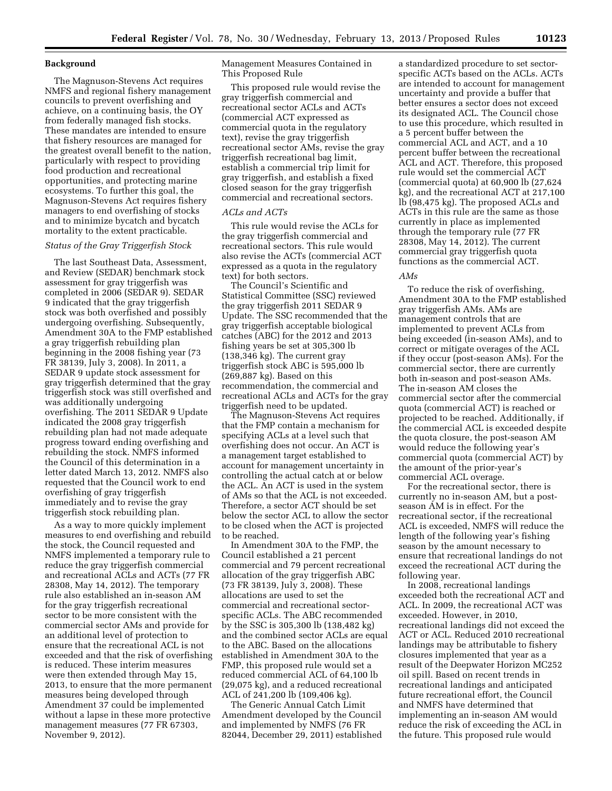### **Background**

The Magnuson-Stevens Act requires NMFS and regional fishery management councils to prevent overfishing and achieve, on a continuing basis, the OY from federally managed fish stocks. These mandates are intended to ensure that fishery resources are managed for the greatest overall benefit to the nation, particularly with respect to providing food production and recreational opportunities, and protecting marine ecosystems. To further this goal, the Magnuson-Stevens Act requires fishery managers to end overfishing of stocks and to minimize bycatch and bycatch mortality to the extent practicable.

# *Status of the Gray Triggerfish Stock*

The last Southeast Data, Assessment, and Review (SEDAR) benchmark stock assessment for gray triggerfish was completed in 2006 (SEDAR 9). SEDAR 9 indicated that the gray triggerfish stock was both overfished and possibly undergoing overfishing. Subsequently, Amendment 30A to the FMP established a gray triggerfish rebuilding plan beginning in the 2008 fishing year (73 FR 38139, July 3, 2008). In 2011, a SEDAR 9 update stock assessment for gray triggerfish determined that the gray triggerfish stock was still overfished and was additionally undergoing overfishing. The 2011 SEDAR 9 Update indicated the 2008 gray triggerfish rebuilding plan had not made adequate progress toward ending overfishing and rebuilding the stock. NMFS informed the Council of this determination in a letter dated March 13, 2012. NMFS also requested that the Council work to end overfishing of gray triggerfish immediately and to revise the gray triggerfish stock rebuilding plan.

As a way to more quickly implement measures to end overfishing and rebuild the stock, the Council requested and NMFS implemented a temporary rule to reduce the gray triggerfish commercial and recreational ACLs and ACTs (77 FR 28308, May 14, 2012). The temporary rule also established an in-season AM for the gray triggerfish recreational sector to be more consistent with the commercial sector AMs and provide for an additional level of protection to ensure that the recreational ACL is not exceeded and that the risk of overfishing is reduced. These interim measures were then extended through May 15, 2013, to ensure that the more permanent measures being developed through Amendment 37 could be implemented without a lapse in these more protective management measures (77 FR 67303, November 9, 2012).

Management Measures Contained in This Proposed Rule

This proposed rule would revise the gray triggerfish commercial and recreational sector ACLs and ACTs (commercial ACT expressed as commercial quota in the regulatory text), revise the gray triggerfish recreational sector AMs, revise the gray triggerfish recreational bag limit, establish a commercial trip limit for gray triggerfish, and establish a fixed closed season for the gray triggerfish commercial and recreational sectors.

### *ACLs and ACTs*

This rule would revise the ACLs for the gray triggerfish commercial and recreational sectors. This rule would also revise the ACTs (commercial ACT expressed as a quota in the regulatory text) for both sectors.

The Council's Scientific and Statistical Committee (SSC) reviewed the gray triggerfish 2011 SEDAR 9 Update. The SSC recommended that the gray triggerfish acceptable biological catches (ABC) for the 2012 and 2013 fishing years be set at 305,300 lb (138,346 kg). The current gray triggerfish stock ABC is 595,000 lb (269,887 kg). Based on this recommendation, the commercial and recreational ACLs and ACTs for the gray triggerfish need to be updated.

The Magnuson-Stevens Act requires that the FMP contain a mechanism for specifying ACLs at a level such that overfishing does not occur. An ACT is a management target established to account for management uncertainty in controlling the actual catch at or below the ACL. An ACT is used in the system of AMs so that the ACL is not exceeded. Therefore, a sector ACT should be set below the sector ACL to allow the sector to be closed when the ACT is projected to be reached.

In Amendment 30A to the FMP, the Council established a 21 percent commercial and 79 percent recreational allocation of the gray triggerfish ABC (73 FR 38139, July 3, 2008). These allocations are used to set the commercial and recreational sectorspecific ACLs. The ABC recommended by the SSC is 305,300 lb (138,482 kg) and the combined sector ACLs are equal to the ABC. Based on the allocations established in Amendment 30A to the FMP, this proposed rule would set a reduced commercial ACL of 64,100 lb (29,075 kg), and a reduced recreational ACL of 241,200 lb (109,406 kg).

The Generic Annual Catch Limit Amendment developed by the Council and implemented by NMFS (76 FR 82044, December 29, 2011) established a standardized procedure to set sectorspecific ACTs based on the ACLs. ACTs are intended to account for management uncertainty and provide a buffer that better ensures a sector does not exceed its designated ACL. The Council chose to use this procedure, which resulted in a 5 percent buffer between the commercial ACL and ACT, and a 10 percent buffer between the recreational ACL and ACT. Therefore, this proposed rule would set the commercial ACT (commercial quota) at 60,900 lb (27,624 kg), and the recreational ACT at 217,100 lb (98,475 kg). The proposed ACLs and ACTs in this rule are the same as those currently in place as implemented through the temporary rule (77 FR 28308, May 14, 2012). The current commercial gray triggerfish quota functions as the commercial ACT.

#### *AMs*

To reduce the risk of overfishing, Amendment 30A to the FMP established gray triggerfish AMs. AMs are management controls that are implemented to prevent ACLs from being exceeded (in-season AMs), and to correct or mitigate overages of the ACL if they occur (post-season AMs). For the commercial sector, there are currently both in-season and post-season AMs. The in-season AM closes the commercial sector after the commercial quota (commercial ACT) is reached or projected to be reached. Additionally, if the commercial ACL is exceeded despite the quota closure, the post-season AM would reduce the following year's commercial quota (commercial ACT) by the amount of the prior-year's commercial ACL overage.

For the recreational sector, there is currently no in-season AM, but a postseason AM is in effect. For the recreational sector, if the recreational ACL is exceeded, NMFS will reduce the length of the following year's fishing season by the amount necessary to ensure that recreational landings do not exceed the recreational ACT during the following year.

In 2008, recreational landings exceeded both the recreational ACT and ACL. In 2009, the recreational ACT was exceeded. However, in 2010, recreational landings did not exceed the ACT or ACL. Reduced 2010 recreational landings may be attributable to fishery closures implemented that year as a result of the Deepwater Horizon MC252 oil spill. Based on recent trends in recreational landings and anticipated future recreational effort, the Council and NMFS have determined that implementing an in-season AM would reduce the risk of exceeding the ACL in the future. This proposed rule would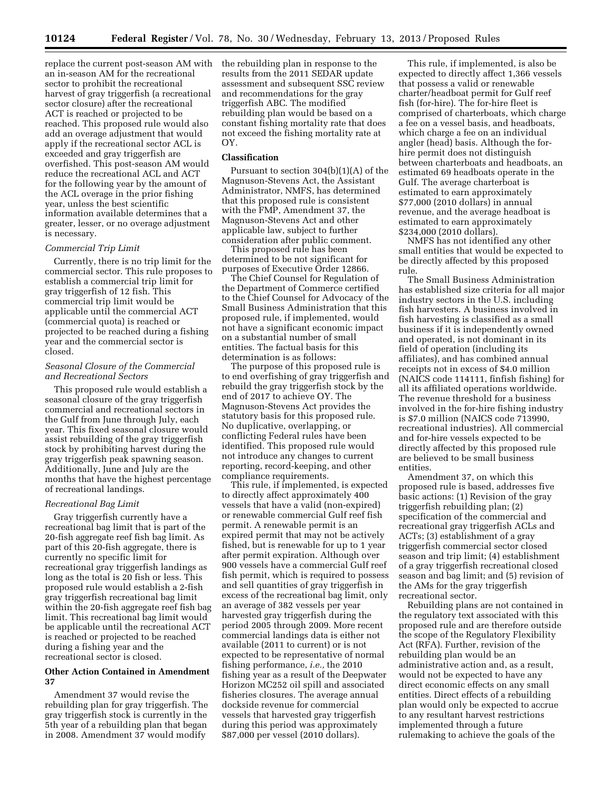replace the current post-season AM with an in-season AM for the recreational sector to prohibit the recreational harvest of gray triggerfish (a recreational sector closure) after the recreational ACT is reached or projected to be reached. This proposed rule would also add an overage adjustment that would apply if the recreational sector ACL is exceeded and gray triggerfish are overfished. This post-season AM would reduce the recreational ACL and ACT for the following year by the amount of the ACL overage in the prior fishing year, unless the best scientific information available determines that a greater, lesser, or no overage adjustment is necessary.

### *Commercial Trip Limit*

Currently, there is no trip limit for the commercial sector. This rule proposes to establish a commercial trip limit for gray triggerfish of 12 fish. This commercial trip limit would be applicable until the commercial ACT (commercial quota) is reached or projected to be reached during a fishing year and the commercial sector is closed.

# *Seasonal Closure of the Commercial and Recreational Sectors*

This proposed rule would establish a seasonal closure of the gray triggerfish commercial and recreational sectors in the Gulf from June through July, each year. This fixed seasonal closure would assist rebuilding of the gray triggerfish stock by prohibiting harvest during the gray triggerfish peak spawning season. Additionally, June and July are the months that have the highest percentage of recreational landings.

### *Recreational Bag Limit*

Gray triggerfish currently have a recreational bag limit that is part of the 20-fish aggregate reef fish bag limit. As part of this 20-fish aggregate, there is currently no specific limit for recreational gray triggerfish landings as long as the total is 20 fish or less. This proposed rule would establish a 2-fish gray triggerfish recreational bag limit within the 20-fish aggregate reef fish bag limit. This recreational bag limit would be applicable until the recreational ACT is reached or projected to be reached during a fishing year and the recreational sector is closed.

### **Other Action Contained in Amendment 37**

Amendment 37 would revise the rebuilding plan for gray triggerfish. The gray triggerfish stock is currently in the 5th year of a rebuilding plan that began in 2008. Amendment 37 would modify

the rebuilding plan in response to the results from the 2011 SEDAR update assessment and subsequent SSC review and recommendations for the gray triggerfish ABC. The modified rebuilding plan would be based on a constant fishing mortality rate that does not exceed the fishing mortality rate at OY.

# **Classification**

Pursuant to section 304(b)(1)(A) of the Magnuson-Stevens Act, the Assistant Administrator, NMFS, has determined that this proposed rule is consistent with the FMP, Amendment 37, the Magnuson-Stevens Act and other applicable law, subject to further consideration after public comment.

This proposed rule has been determined to be not significant for purposes of Executive Order 12866.

The Chief Counsel for Regulation of the Department of Commerce certified to the Chief Counsel for Advocacy of the Small Business Administration that this proposed rule, if implemented, would not have a significant economic impact on a substantial number of small entities. The factual basis for this determination is as follows:

The purpose of this proposed rule is to end overfishing of gray triggerfish and rebuild the gray triggerfish stock by the end of 2017 to achieve OY. The Magnuson-Stevens Act provides the statutory basis for this proposed rule. No duplicative, overlapping, or conflicting Federal rules have been identified. This proposed rule would not introduce any changes to current reporting, record-keeping, and other compliance requirements.

This rule, if implemented, is expected to directly affect approximately 400 vessels that have a valid (non-expired) or renewable commercial Gulf reef fish permit. A renewable permit is an expired permit that may not be actively fished, but is renewable for up to 1 year after permit expiration. Although over 900 vessels have a commercial Gulf reef fish permit, which is required to possess and sell quantities of gray triggerfish in excess of the recreational bag limit, only an average of 382 vessels per year harvested gray triggerfish during the period 2005 through 2009. More recent commercial landings data is either not available (2011 to current) or is not expected to be representative of normal fishing performance, *i.e.,* the 2010 fishing year as a result of the Deepwater Horizon MC252 oil spill and associated fisheries closures. The average annual dockside revenue for commercial vessels that harvested gray triggerfish during this period was approximately \$87,000 per vessel (2010 dollars).

This rule, if implemented, is also be expected to directly affect 1,366 vessels that possess a valid or renewable charter/headboat permit for Gulf reef fish (for-hire). The for-hire fleet is comprised of charterboats, which charge a fee on a vessel basis, and headboats, which charge a fee on an individual angler (head) basis. Although the forhire permit does not distinguish between charterboats and headboats, an estimated 69 headboats operate in the Gulf. The average charterboat is estimated to earn approximately \$77,000 (2010 dollars) in annual revenue, and the average headboat is estimated to earn approximately \$234,000 (2010 dollars).

NMFS has not identified any other small entities that would be expected to be directly affected by this proposed rule.

The Small Business Administration has established size criteria for all major industry sectors in the U.S. including fish harvesters. A business involved in fish harvesting is classified as a small business if it is independently owned and operated, is not dominant in its field of operation (including its affiliates), and has combined annual receipts not in excess of \$4.0 million (NAICS code 114111, finfish fishing) for all its affiliated operations worldwide. The revenue threshold for a business involved in the for-hire fishing industry is \$7.0 million (NAICS code 713990, recreational industries). All commercial and for-hire vessels expected to be directly affected by this proposed rule are believed to be small business entities.

Amendment 37, on which this proposed rule is based, addresses five basic actions: (1) Revision of the gray triggerfish rebuilding plan; (2) specification of the commercial and recreational gray triggerfish ACLs and ACTs; (3) establishment of a gray triggerfish commercial sector closed season and trip limit; (4) establishment of a gray triggerfish recreational closed season and bag limit; and (5) revision of the AMs for the gray triggerfish recreational sector.

Rebuilding plans are not contained in the regulatory text associated with this proposed rule and are therefore outside the scope of the Regulatory Flexibility Act (RFA). Further, revision of the rebuilding plan would be an administrative action and, as a result, would not be expected to have any direct economic effects on any small entities. Direct effects of a rebuilding plan would only be expected to accrue to any resultant harvest restrictions implemented through a future rulemaking to achieve the goals of the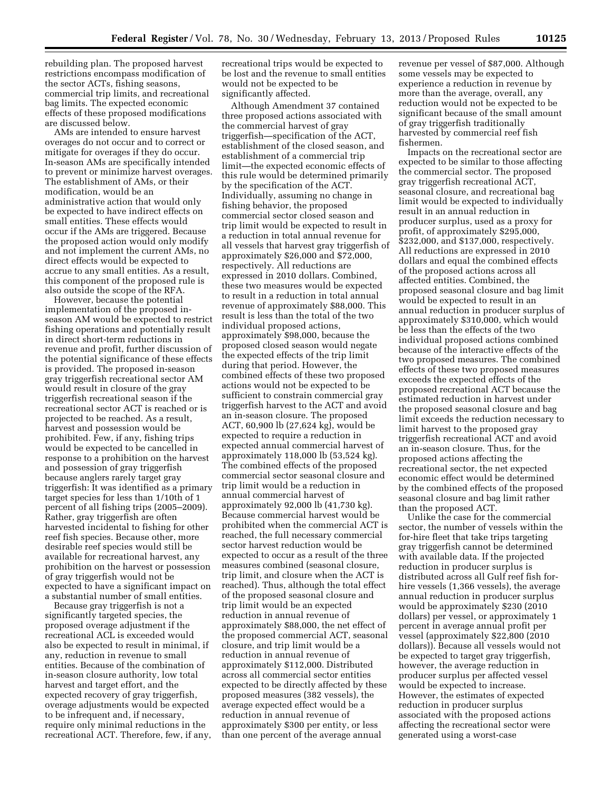rebuilding plan. The proposed harvest restrictions encompass modification of the sector ACTs, fishing seasons, commercial trip limits, and recreational bag limits. The expected economic effects of these proposed modifications are discussed below.

AMs are intended to ensure harvest overages do not occur and to correct or mitigate for overages if they do occur. In-season AMs are specifically intended to prevent or minimize harvest overages. The establishment of AMs, or their modification, would be an administrative action that would only be expected to have indirect effects on small entities. These effects would occur if the AMs are triggered. Because the proposed action would only modify and not implement the current AMs, no direct effects would be expected to accrue to any small entities. As a result, this component of the proposed rule is also outside the scope of the RFA.

However, because the potential implementation of the proposed inseason AM would be expected to restrict fishing operations and potentially result in direct short-term reductions in revenue and profit, further discussion of the potential significance of these effects is provided. The proposed in-season gray triggerfish recreational sector AM would result in closure of the gray triggerfish recreational season if the recreational sector ACT is reached or is projected to be reached. As a result, harvest and possession would be prohibited. Few, if any, fishing trips would be expected to be cancelled in response to a prohibition on the harvest and possession of gray triggerfish because anglers rarely target gray triggerfish: It was identified as a primary target species for less than 1/10th of 1 percent of all fishing trips (2005–2009). Rather, gray triggerfish are often harvested incidental to fishing for other reef fish species. Because other, more desirable reef species would still be available for recreational harvest, any prohibition on the harvest or possession of gray triggerfish would not be expected to have a significant impact on a substantial number of small entities.

Because gray triggerfish is not a significantly targeted species, the proposed overage adjustment if the recreational ACL is exceeded would also be expected to result in minimal, if any, reduction in revenue to small entities. Because of the combination of in-season closure authority, low total harvest and target effort, and the expected recovery of gray triggerfish, overage adjustments would be expected to be infrequent and, if necessary, require only minimal reductions in the recreational ACT. Therefore, few, if any,

recreational trips would be expected to be lost and the revenue to small entities would not be expected to be significantly affected.

Although Amendment 37 contained three proposed actions associated with the commercial harvest of gray triggerfish—specification of the ACT, establishment of the closed season, and establishment of a commercial trip limit—the expected economic effects of this rule would be determined primarily by the specification of the ACT. Individually, assuming no change in fishing behavior, the proposed commercial sector closed season and trip limit would be expected to result in a reduction in total annual revenue for all vessels that harvest gray triggerfish of approximately \$26,000 and \$72,000, respectively. All reductions are expressed in 2010 dollars. Combined, these two measures would be expected to result in a reduction in total annual revenue of approximately \$88,000. This result is less than the total of the two individual proposed actions, approximately \$98,000, because the proposed closed season would negate the expected effects of the trip limit during that period. However, the combined effects of these two proposed actions would not be expected to be sufficient to constrain commercial gray triggerfish harvest to the ACT and avoid an in-season closure. The proposed ACT, 60,900 lb (27,624 kg), would be expected to require a reduction in expected annual commercial harvest of approximately 118,000 lb (53,524 kg). The combined effects of the proposed commercial sector seasonal closure and trip limit would be a reduction in annual commercial harvest of approximately 92,000 lb (41,730 kg). Because commercial harvest would be prohibited when the commercial ACT is reached, the full necessary commercial sector harvest reduction would be expected to occur as a result of the three measures combined (seasonal closure, trip limit, and closure when the ACT is reached). Thus, although the total effect of the proposed seasonal closure and trip limit would be an expected reduction in annual revenue of approximately \$88,000, the net effect of the proposed commercial ACT, seasonal closure, and trip limit would be a reduction in annual revenue of approximately \$112,000. Distributed across all commercial sector entities expected to be directly affected by these proposed measures (382 vessels), the average expected effect would be a reduction in annual revenue of approximately \$300 per entity, or less than one percent of the average annual

revenue per vessel of \$87,000. Although some vessels may be expected to experience a reduction in revenue by more than the average, overall, any reduction would not be expected to be significant because of the small amount of gray triggerfish traditionally harvested by commercial reef fish fishermen.

Impacts on the recreational sector are expected to be similar to those affecting the commercial sector. The proposed gray triggerfish recreational ACT, seasonal closure, and recreational bag limit would be expected to individually result in an annual reduction in producer surplus, used as a proxy for profit, of approximately \$295,000, \$232,000, and \$137,000, respectively. All reductions are expressed in 2010 dollars and equal the combined effects of the proposed actions across all affected entities. Combined, the proposed seasonal closure and bag limit would be expected to result in an annual reduction in producer surplus of approximately \$310,000, which would be less than the effects of the two individual proposed actions combined because of the interactive effects of the two proposed measures. The combined effects of these two proposed measures exceeds the expected effects of the proposed recreational ACT because the estimated reduction in harvest under the proposed seasonal closure and bag limit exceeds the reduction necessary to limit harvest to the proposed gray triggerfish recreational ACT and avoid an in-season closure. Thus, for the proposed actions affecting the recreational sector, the net expected economic effect would be determined by the combined effects of the proposed seasonal closure and bag limit rather than the proposed ACT.

Unlike the case for the commercial sector, the number of vessels within the for-hire fleet that take trips targeting gray triggerfish cannot be determined with available data. If the projected reduction in producer surplus is distributed across all Gulf reef fish forhire vessels (1,366 vessels), the average annual reduction in producer surplus would be approximately \$230 (2010 dollars) per vessel, or approximately 1 percent in average annual profit per vessel (approximately \$22,800 (2010 dollars)). Because all vessels would not be expected to target gray triggerfish, however, the average reduction in producer surplus per affected vessel would be expected to increase. However, the estimates of expected reduction in producer surplus associated with the proposed actions affecting the recreational sector were generated using a worst-case